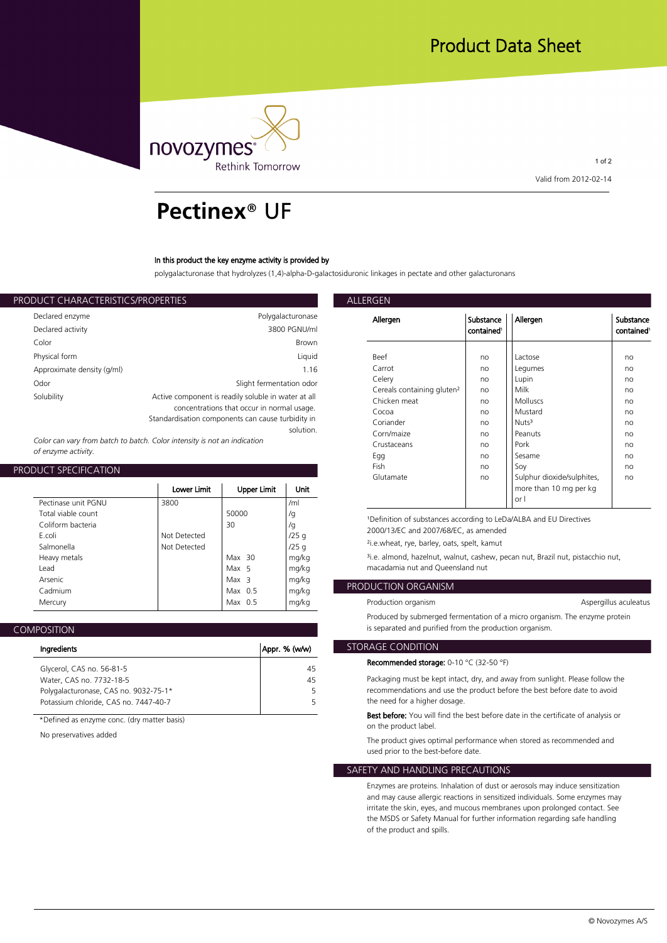

1 of 2 **Valid from 2012-02-14**

## **Pectinex**® UF

#### **In this product the key enzyme activity is provided by**

**polygalacturonase that hydrolyzes (1,4)-alpha-D-galactosiduronic linkages in pectate and other galacturonans**

| ALLERGEN                    |                                                                                                                                                        | PRODUCT CHARACTERISTICS/PROPERTIES |
|-----------------------------|--------------------------------------------------------------------------------------------------------------------------------------------------------|------------------------------------|
| Allergen                    | Polygalacturonase                                                                                                                                      | Declared enzyme                    |
|                             | 3800 PGNU/ml                                                                                                                                           | Declared activity                  |
|                             | <b>Brown</b>                                                                                                                                           | Color                              |
| <b>Beef</b>                 | Liquid                                                                                                                                                 | Physical form                      |
| Carrot                      | 1.16                                                                                                                                                   | Approximate density (g/ml)         |
| Celery<br>Cereals           | Slight fermentation odor                                                                                                                               | Odor                               |
| Chicken<br>Cocoa<br>Coriand | Active component is readily soluble in water at all<br>concentrations that occur in normal usage.<br>Standardisation components can cause turbidity in | Solubility                         |
| $C_{\alpha r n/m}$          | solution.                                                                                                                                              |                                    |

*Color can vary from batch to batch. Color intensity is not an indication of enzyme activity.*

#### **PRODUCT SPECIFICATION**

|                     |              |                    |       | Gluta                 |
|---------------------|--------------|--------------------|-------|-----------------------|
|                     | Lower Limit  | <b>Upper Limit</b> | Unit  |                       |
| Pectinase unit PGNU | 3800         |                    | /ml   |                       |
| Total viable count  |              | 50000              | /g    | <sup>1</sup> Definit  |
| Coliform bacteria   |              | 30                 | /g    | 2000/1                |
| F.coli              | Not Detected |                    | /25q  |                       |
| Salmonella          | Not Detected |                    | /25q  | $2i.e.$ whe           |
| Heavy metals        |              | $Max$ 30           | mg/kg | <sup>3</sup> i.e. alm |
| Lead                |              | Max 5              | mg/kg | macada                |
| Arsenic             |              | Max <sub>3</sub>   | mg/kg |                       |
| Cadmium             |              | Max $0.5$          | mg/kg | <b>PRODUCTI</b>       |
| Mercury             |              | Max $0.5$          | mg/kg | Product               |
|                     |              |                    |       |                       |

## **COMPOSITION**

| Ingredients                                                                    | Appr. % (w/w) | <b>STORAGE C</b>    |
|--------------------------------------------------------------------------------|---------------|---------------------|
| Glycerol, CAS no. 56-81-5                                                      | 45            | Recommo             |
| Water, CAS no. 7732-18-5                                                       | 45            | Packagin            |
| Polygalacturonase, CAS no. 9032-75-1*<br>Potassium chloride, CAS no. 7447-40-7 |               | recomme<br>the need |
|                                                                                |               |                     |

**\*Defined as enzyme conc. (dry matter basis)**

**No preservatives added**

| Allergen                               | Substance<br>contained <sup>1</sup> | Allergen                   | Substance<br>contained <sup>1</sup> |
|----------------------------------------|-------------------------------------|----------------------------|-------------------------------------|
|                                        |                                     |                            |                                     |
| Beef                                   | no                                  | Lactose                    | no                                  |
| Carrot                                 | no                                  | Legumes                    | no                                  |
| Celery                                 | no                                  | Lupin                      | no                                  |
| Cereals containing gluten <sup>2</sup> | no                                  | Milk                       | no                                  |
| Chicken meat                           | no                                  | <b>Molluscs</b>            | no                                  |
| Cocoa                                  | no                                  | Mustard                    | no                                  |
| Coriander                              | no                                  | Nuts <sup>3</sup>          | no                                  |
| Corn/maize                             | no                                  | Peanuts                    | no                                  |
| Crustaceans                            | no                                  | Pork                       | no                                  |
| Egg                                    | no                                  | Sesame                     | no                                  |
| Fish                                   | no                                  | Soy                        | no                                  |
| Glutamate                              | no                                  | Sulphur dioxide/sulphites, | no                                  |
|                                        |                                     | more than 10 mg per kg     |                                     |
|                                        |                                     | or I                       |                                     |

<sup>1</sup>Definition of substances according to LeDa/ALBA and EU Directives **2000/13/EC and 2007/68/EC, as amended**

**/25 g ²i.e.wheat, rye, barley, oats, spelt, kamut**

**mg/kg ³i.e. almond, hazelnut, walnut, cashew, pecan nut, Brazil nut, pistacchio nut, mg/kg macadamia nut and Queensland nut**

## **mg/kg PRODUCTION ORGANISM**

Production organism

**Aspergillus aculeatus** 

**Produced by submerged fermentation of a micro organism. The enzyme protein is separated and purified from the production organism.**

### **STORAGE CONDITION**

#### **Recommended storage: 0-10 °C (32-50 °F)**

**45 Packaging must be kept intact, dry, and away from sunlight. Please follow the 5 recommendations and use the product before the best before date to avoid 5 the need for a higher dosage.**

> **Best before: You will find the best before date in the certificate of analysis or on the product label.**

**The product gives optimal performance when stored as recommended and used prior to the best-before date.**

#### **SAFETY AND HANDLING PRECAUTIONS**

**Enzymes are proteins. Inhalation of dust or aerosols may induce sensitization and may cause allergic reactions in sensitized individuals. Some enzymes may irritate the skin, eyes, and mucous membranes upon prolonged contact. See the MSDS or Safety Manual for further information regarding safe handling of the product and spills.**